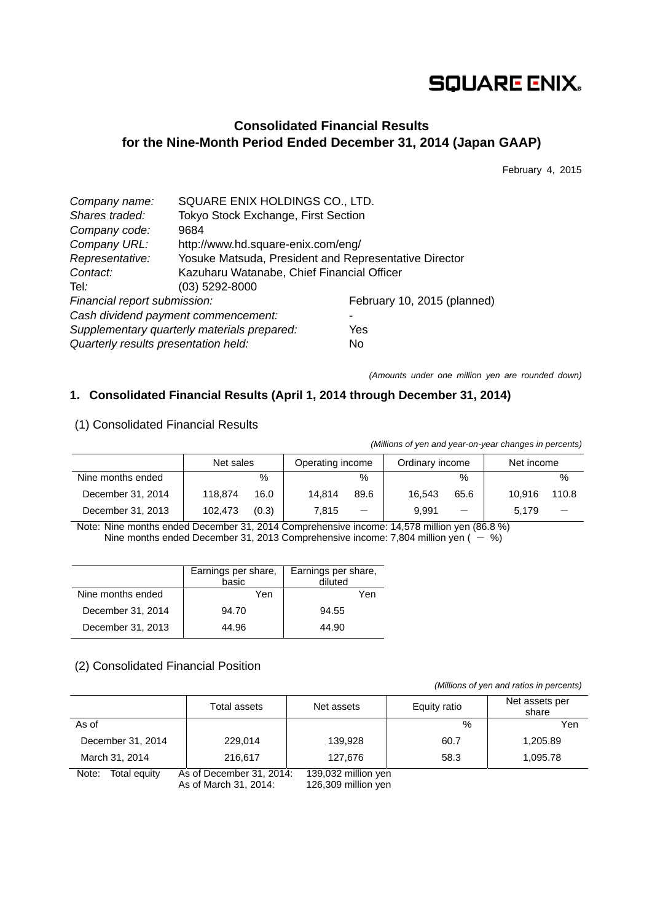# **SQUARE ENIX.**

## **Consolidated Financial Results for the Nine-Month Period Ended December 31, 2014 (Japan GAAP)**

February 4, 2015

| SQUARE ENIX HOLDINGS CO., LTD.                        |                             |  |  |  |
|-------------------------------------------------------|-----------------------------|--|--|--|
| Tokyo Stock Exchange, First Section                   |                             |  |  |  |
| 9684                                                  |                             |  |  |  |
| http://www.hd.square-enix.com/eng/                    |                             |  |  |  |
| Yosuke Matsuda, President and Representative Director |                             |  |  |  |
| Kazuharu Watanabe, Chief Financial Officer            |                             |  |  |  |
| $(03)$ 5292-8000                                      |                             |  |  |  |
| Financial report submission:                          | February 10, 2015 (planned) |  |  |  |
| Cash dividend payment commencement:                   |                             |  |  |  |
| Supplementary quarterly materials prepared:           | Yes                         |  |  |  |
| Quarterly results presentation held:                  | No                          |  |  |  |
|                                                       |                             |  |  |  |

*(Amounts under one million yen are rounded down)* 

*(Millions of yen and year-on-year changes in percents)*

## **1. Consolidated Financial Results (April 1, 2014 through December 31, 2014)**

|                   | <i>(Millions of you and your on-your changes in percents)</i> |       |                  |                                   |                 |      |            |       |  |
|-------------------|---------------------------------------------------------------|-------|------------------|-----------------------------------|-----------------|------|------------|-------|--|
|                   | Net sales                                                     |       | Operating income |                                   | Ordinary income |      | Net income |       |  |
| Nine months ended |                                                               | %     |                  | $\%$                              |                 | $\%$ |            | $\%$  |  |
| December 31, 2014 | 118.874                                                       | 16.0  | 14.814           | 89.6                              | 16.543          | 65.6 | 10.916     | 110.8 |  |
| December 31, 2013 | 102.473                                                       | (0.3) | 7.815            | $\overbrace{\phantom{123221111}}$ | 9.991           |      | 5.179      |       |  |

(1) Consolidated Financial Results

Note: Nine months ended December 31, 2014 Comprehensive income: 14,578 million yen (86.8 %) Nine months ended December 31, 2013 Comprehensive income: 7,804 million yen ( $-$  %)

|                   | Earnings per share,<br>basic | Earnings per share,<br>diluted |
|-------------------|------------------------------|--------------------------------|
| Nine months ended | Yen                          | Yen                            |
| December 31, 2014 | 94.70                        | 94.55                          |
| December 31, 2013 | 44.96                        | 44.90                          |

## (2) Consolidated Financial Position

 *(Millions of yen and ratios in percents)*

|                       | Total assets                                      | Net assets                                 | Equity ratio | Net assets per<br>share |
|-----------------------|---------------------------------------------------|--------------------------------------------|--------------|-------------------------|
| As of                 |                                                   |                                            | $\%$         | Yen                     |
| December 31, 2014     | 229.014                                           | 139,928                                    | 60.7         | 1,205.89                |
| March 31, 2014        | 216,617                                           | 127,676                                    | 58.3         | 1,095.78                |
| Note:<br>Total equity | As of December 31, 2014:<br>As of March 31, 2014: | 139,032 million yen<br>126,309 million yen |              |                         |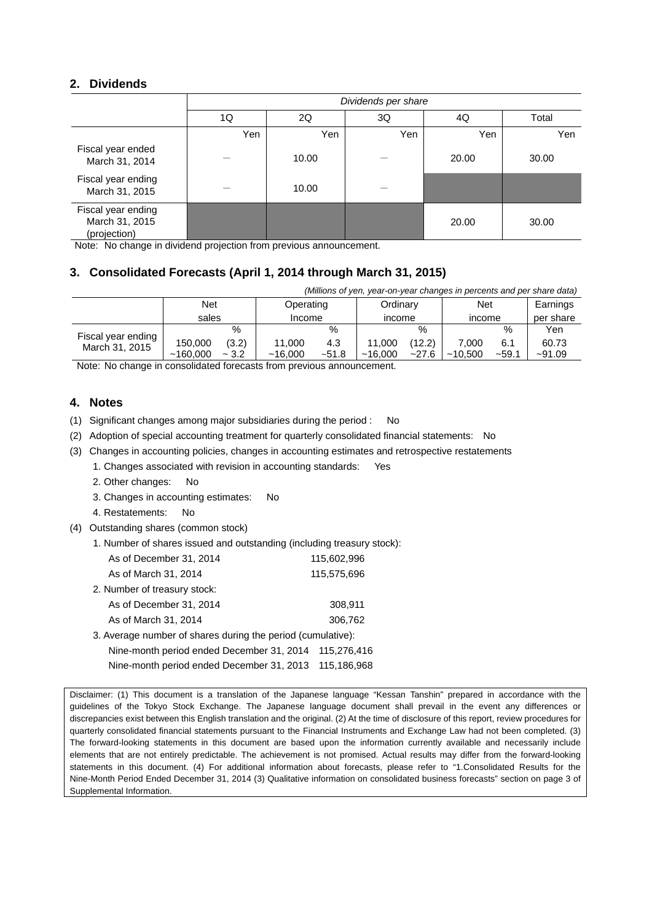## **2. Dividends**

|                                                      | Dividends per share |       |     |       |       |  |  |
|------------------------------------------------------|---------------------|-------|-----|-------|-------|--|--|
|                                                      | 1Q                  | 2Q    | 3Q  | 4Q    | Total |  |  |
|                                                      | Yen                 | Yen   | Yen | Yen   | Yen   |  |  |
| Fiscal year ended<br>March 31, 2014                  |                     | 10.00 |     | 20.00 | 30.00 |  |  |
| Fiscal year ending<br>March 31, 2015                 |                     | 10.00 |     |       |       |  |  |
| Fiscal year ending<br>March 31, 2015<br>(projection) |                     |       |     | 20.00 | 30.00 |  |  |

Note: No change in dividend projection from previous announcement.

## **3. Consolidated Forecasts (April 1, 2014 through March 31, 2015)**

| (Millions of yen, year-on-year changes in percents and per share data) |                     |                 |                   |                |                   |                 |                  |                |                   |
|------------------------------------------------------------------------|---------------------|-----------------|-------------------|----------------|-------------------|-----------------|------------------|----------------|-------------------|
|                                                                        | Net<br>Operating    |                 | Net<br>Ordinary   |                |                   |                 |                  | Earnings       |                   |
|                                                                        | sales               |                 | Income            |                | income            |                 | income           |                | per share         |
| Fiscal year ending                                                     |                     | %               |                   | %              |                   | $\%$            |                  | %              | Yen               |
| March 31, 2015                                                         | 150,000<br>~160.000 | (3.2)<br>$-3.2$ | 11.000<br>~16.000 | 4.3<br>$-51.8$ | 11.000<br>~16.000 | (12.2)<br>~27.6 | 7.000<br>~10.500 | 6.1<br>$-59.1$ | 60.73<br>$-91.09$ |

Note: No change in consolidated forecasts from previous announcement.

### **4. Notes**

(1) Significant changes among major subsidiaries during the period : No

- (2) Adoption of special accounting treatment for quarterly consolidated financial statements: No
- (3) Changes in accounting policies, changes in accounting estimates and retrospective restatements
	- 1. Changes associated with revision in accounting standards: Yes
	- 2. Other changes: No
	- 3. Changes in accounting estimates: No
	- 4. Restatements: No
- (4) Outstanding shares (common stock)
	- 1. Number of shares issued and outstanding (including treasury stock):

| As of December 31, 2014                                     | 115,602,996 |
|-------------------------------------------------------------|-------------|
| As of March 31, 2014                                        | 115,575,696 |
| 2. Number of treasury stock:                                |             |
| As of December 31, 2014                                     | 308,911     |
| As of March 31, 2014                                        | 306,762     |
| 3. Average number of shares during the period (cumulative): |             |
|                                                             |             |

Nine-month period ended December 31, 2014 115,276,416 Nine-month period ended December 31, 2013 115,186,968

Disclaimer: (1) This document is a translation of the Japanese language "Kessan Tanshin" prepared in accordance with the guidelines of the Tokyo Stock Exchange. The Japanese language document shall prevail in the event any differences or discrepancies exist between this English translation and the original. (2) At the time of disclosure of this report, review procedures for quarterly consolidated financial statements pursuant to the Financial Instruments and Exchange Law had not been completed. (3) The forward-looking statements in this document are based upon the information currently available and necessarily include elements that are not entirely predictable. The achievement is not promised. Actual results may differ from the forward-looking statements in this document. (4) For additional information about forecasts, please refer to "1.Consolidated Results for the Nine-Month Period Ended December 31, 2014 (3) Qualitative information on consolidated business forecasts" section on page 3 of Supplemental Information.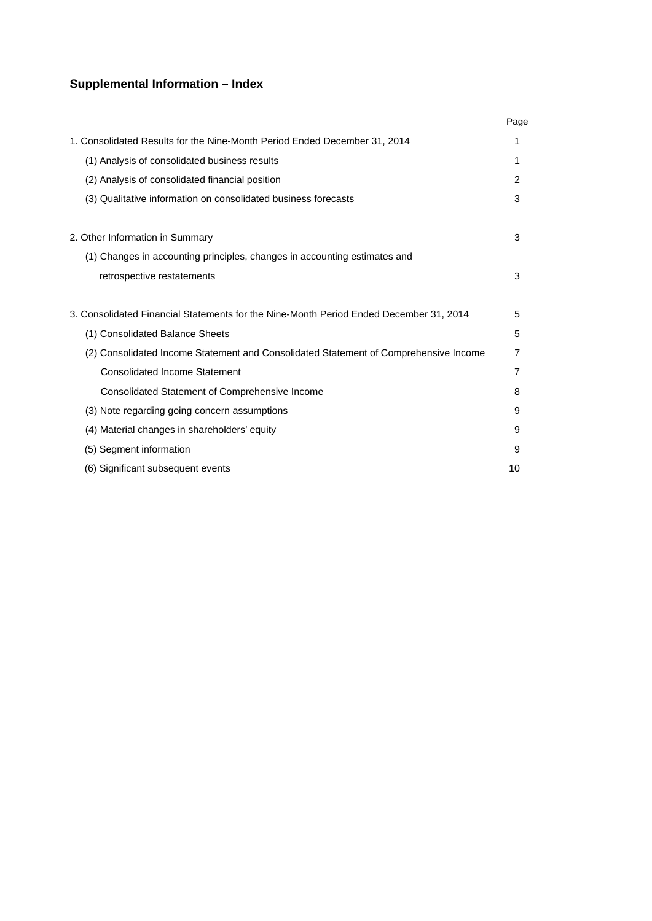## **Supplemental Information – Index**

|                                                                                        | Page           |
|----------------------------------------------------------------------------------------|----------------|
| 1. Consolidated Results for the Nine-Month Period Ended December 31, 2014              | 1              |
| (1) Analysis of consolidated business results                                          | 1              |
| (2) Analysis of consolidated financial position                                        | $\overline{2}$ |
| (3) Qualitative information on consolidated business forecasts                         | 3              |
| 2. Other Information in Summary                                                        | 3              |
| (1) Changes in accounting principles, changes in accounting estimates and              |                |
| retrospective restatements                                                             | 3              |
| 3. Consolidated Financial Statements for the Nine-Month Period Ended December 31, 2014 | 5              |
| (1) Consolidated Balance Sheets                                                        | 5              |
| (2) Consolidated Income Statement and Consolidated Statement of Comprehensive Income   | 7              |
| Consolidated Income Statement                                                          | 7              |
| Consolidated Statement of Comprehensive Income                                         | 8              |
| (3) Note regarding going concern assumptions                                           | 9              |
| (4) Material changes in shareholders' equity                                           | 9              |
| (5) Segment information                                                                | 9              |
| (6) Significant subsequent events                                                      | 10             |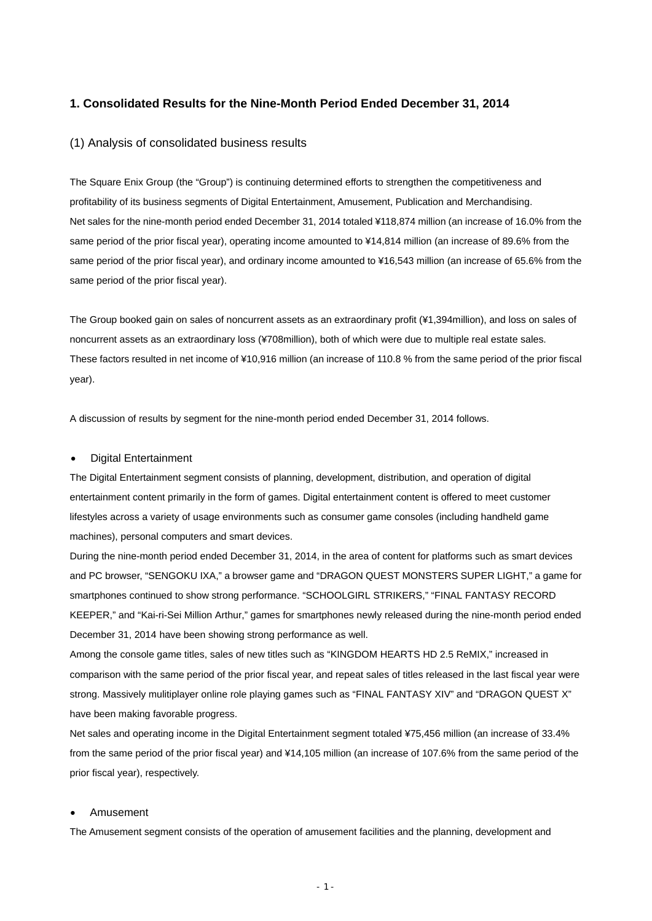#### **1. Consolidated Results for the Nine-Month Period Ended December 31, 2014**

#### (1) Analysis of consolidated business results

The Square Enix Group (the "Group") is continuing determined efforts to strengthen the competitiveness and profitability of its business segments of Digital Entertainment, Amusement, Publication and Merchandising. Net sales for the nine-month period ended December 31, 2014 totaled ¥118,874 million (an increase of 16.0% from the same period of the prior fiscal year), operating income amounted to ¥14,814 million (an increase of 89.6% from the same period of the prior fiscal year), and ordinary income amounted to ¥16,543 million (an increase of 65.6% from the same period of the prior fiscal year).

The Group booked gain on sales of noncurrent assets as an extraordinary profit (¥1,394million), and loss on sales of noncurrent assets as an extraordinary loss (¥708million), both of which were due to multiple real estate sales. These factors resulted in net income of ¥10,916 million (an increase of 110.8 % from the same period of the prior fiscal year).

A discussion of results by segment for the nine-month period ended December 31, 2014 follows.

#### Digital Entertainment

The Digital Entertainment segment consists of planning, development, distribution, and operation of digital entertainment content primarily in the form of games. Digital entertainment content is offered to meet customer lifestyles across a variety of usage environments such as consumer game consoles (including handheld game machines), personal computers and smart devices.

During the nine-month period ended December 31, 2014, in the area of content for platforms such as smart devices and PC browser, "SENGOKU IXA," a browser game and "DRAGON QUEST MONSTERS SUPER LIGHT," a game for smartphones continued to show strong performance. "SCHOOLGIRL STRIKERS," "FINAL FANTASY RECORD KEEPER," and "Kai-ri-Sei Million Arthur," games for smartphones newly released during the nine-month period ended December 31, 2014 have been showing strong performance as well.

Among the console game titles, sales of new titles such as "KINGDOM HEARTS HD 2.5 ReMIX," increased in comparison with the same period of the prior fiscal year, and repeat sales of titles released in the last fiscal year were strong. Massively mulitiplayer online role playing games such as "FINAL FANTASY XIV" and "DRAGON QUEST X" have been making favorable progress.

Net sales and operating income in the Digital Entertainment segment totaled ¥75,456 million (an increase of 33.4% from the same period of the prior fiscal year) and ¥14,105 million (an increase of 107.6% from the same period of the prior fiscal year), respectively.

#### Amusement

The Amusement segment consists of the operation of amusement facilities and the planning, development and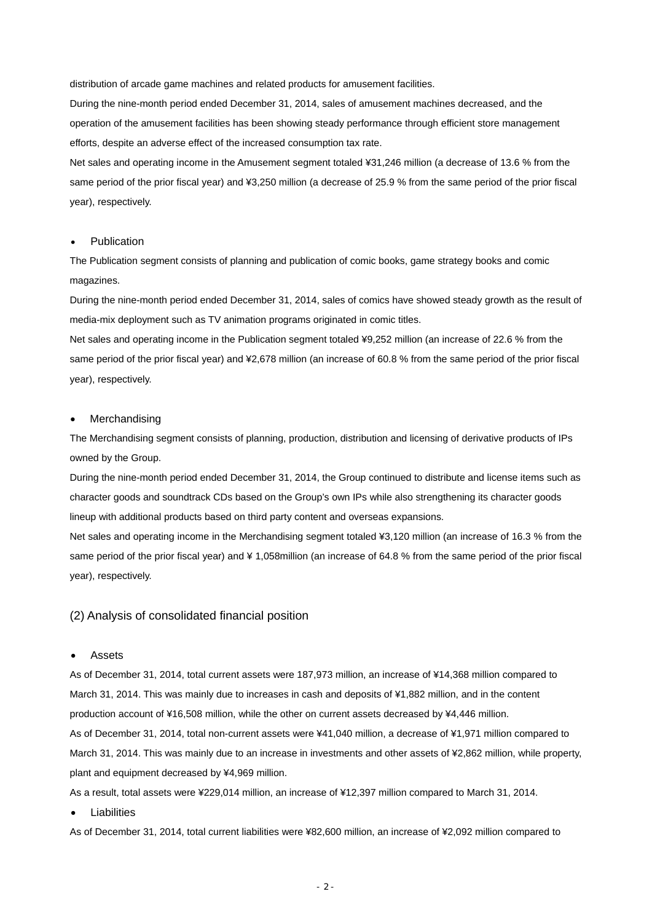distribution of arcade game machines and related products for amusement facilities.

During the nine-month period ended December 31, 2014, sales of amusement machines decreased, and the operation of the amusement facilities has been showing steady performance through efficient store management efforts, despite an adverse effect of the increased consumption tax rate.

Net sales and operating income in the Amusement segment totaled ¥31,246 million (a decrease of 13.6 % from the same period of the prior fiscal year) and ¥3,250 million (a decrease of 25.9 % from the same period of the prior fiscal year), respectively.

#### Publication

The Publication segment consists of planning and publication of comic books, game strategy books and comic magazines.

During the nine-month period ended December 31, 2014, sales of comics have showed steady growth as the result of media-mix deployment such as TV animation programs originated in comic titles.

Net sales and operating income in the Publication segment totaled ¥9,252 million (an increase of 22.6 % from the same period of the prior fiscal year) and ¥2,678 million (an increase of 60.8 % from the same period of the prior fiscal year), respectively.

#### Merchandising

The Merchandising segment consists of planning, production, distribution and licensing of derivative products of IPs owned by the Group.

During the nine-month period ended December 31, 2014, the Group continued to distribute and license items such as character goods and soundtrack CDs based on the Group's own IPs while also strengthening its character goods lineup with additional products based on third party content and overseas expansions.

Net sales and operating income in the Merchandising segment totaled ¥3,120 million (an increase of 16.3 % from the same period of the prior fiscal year) and ¥ 1,058million (an increase of 64.8 % from the same period of the prior fiscal year), respectively.

#### (2) Analysis of consolidated financial position

#### Assets

As of December 31, 2014, total current assets were 187,973 million, an increase of ¥14,368 million compared to March 31, 2014. This was mainly due to increases in cash and deposits of ¥1,882 million, and in the content production account of ¥16,508 million, while the other on current assets decreased by ¥4,446 million. As of December 31, 2014, total non-current assets were ¥41,040 million, a decrease of ¥1,971 million compared to March 31, 2014. This was mainly due to an increase in investments and other assets of ¥2,862 million, while property, plant and equipment decreased by ¥4,969 million.

As a result, total assets were ¥229,014 million, an increase of ¥12,397 million compared to March 31, 2014.

Liabilities

As of December 31, 2014, total current liabilities were ¥82,600 million, an increase of ¥2,092 million compared to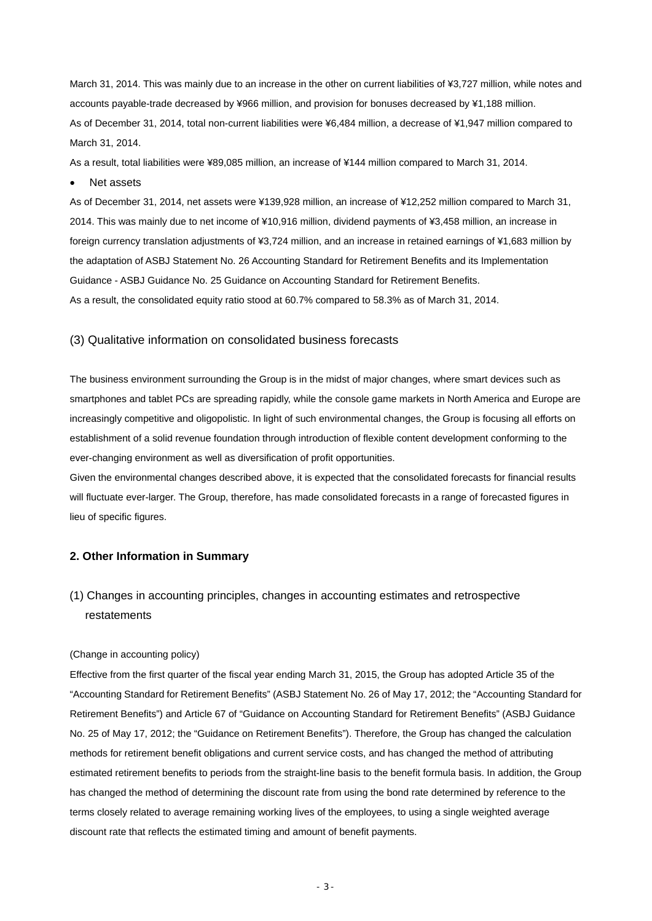March 31, 2014. This was mainly due to an increase in the other on current liabilities of ¥3,727 million, while notes and accounts payable-trade decreased by ¥966 million, and provision for bonuses decreased by ¥1,188 million. As of December 31, 2014, total non-current liabilities were ¥6,484 million, a decrease of ¥1,947 million compared to March 31, 2014.

As a result, total liabilities were ¥89,085 million, an increase of ¥144 million compared to March 31, 2014.

• Net assets

As of December 31, 2014, net assets were ¥139,928 million, an increase of ¥12,252 million compared to March 31, 2014. This was mainly due to net income of ¥10,916 million, dividend payments of ¥3,458 million, an increase in foreign currency translation adjustments of ¥3,724 million, and an increase in retained earnings of ¥1,683 million by the adaptation of ASBJ Statement No. 26 Accounting Standard for Retirement Benefits and its Implementation Guidance - ASBJ Guidance No. 25 Guidance on Accounting Standard for Retirement Benefits. As a result, the consolidated equity ratio stood at 60.7% compared to 58.3% as of March 31, 2014.

#### (3) Qualitative information on consolidated business forecasts

The business environment surrounding the Group is in the midst of major changes, where smart devices such as smartphones and tablet PCs are spreading rapidly, while the console game markets in North America and Europe are increasingly competitive and oligopolistic. In light of such environmental changes, the Group is focusing all efforts on establishment of a solid revenue foundation through introduction of flexible content development conforming to the ever-changing environment as well as diversification of profit opportunities.

Given the environmental changes described above, it is expected that the consolidated forecasts for financial results will fluctuate ever-larger. The Group, therefore, has made consolidated forecasts in a range of forecasted figures in lieu of specific figures.

### **2. Other Information in Summary**

## (1) Changes in accounting principles, changes in accounting estimates and retrospective restatements

#### (Change in accounting policy)

Effective from the first quarter of the fiscal year ending March 31, 2015, the Group has adopted Article 35 of the "Accounting Standard for Retirement Benefits" (ASBJ Statement No. 26 of May 17, 2012; the "Accounting Standard for Retirement Benefits") and Article 67 of "Guidance on Accounting Standard for Retirement Benefits" (ASBJ Guidance No. 25 of May 17, 2012; the "Guidance on Retirement Benefits"). Therefore, the Group has changed the calculation methods for retirement benefit obligations and current service costs, and has changed the method of attributing estimated retirement benefits to periods from the straight-line basis to the benefit formula basis. In addition, the Group has changed the method of determining the discount rate from using the bond rate determined by reference to the terms closely related to average remaining working lives of the employees, to using a single weighted average discount rate that reflects the estimated timing and amount of benefit payments.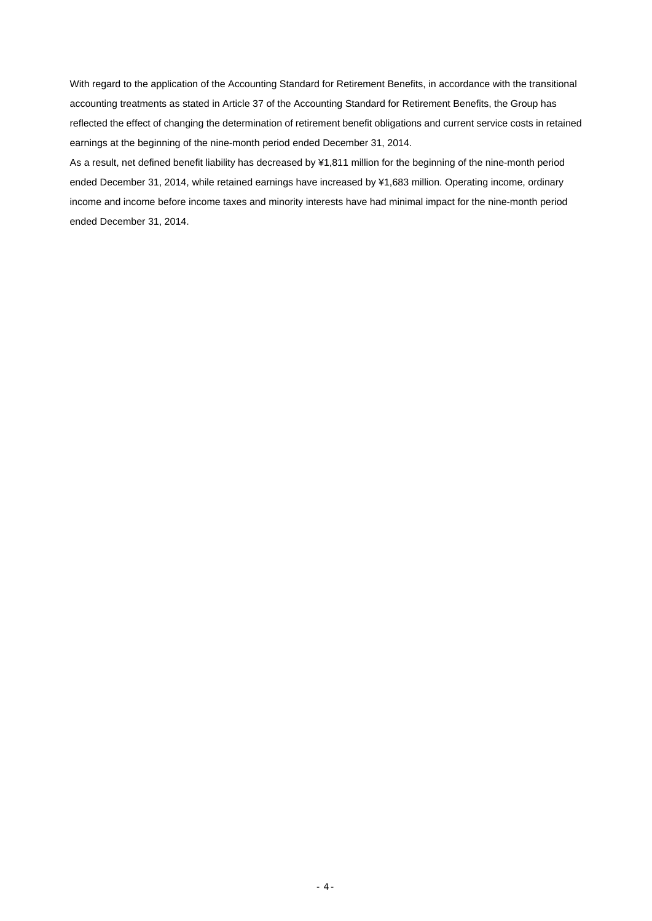With regard to the application of the Accounting Standard for Retirement Benefits, in accordance with the transitional accounting treatments as stated in Article 37 of the Accounting Standard for Retirement Benefits, the Group has reflected the effect of changing the determination of retirement benefit obligations and current service costs in retained earnings at the beginning of the nine-month period ended December 31, 2014.

As a result, net defined benefit liability has decreased by ¥1,811 million for the beginning of the nine-month period ended December 31, 2014, while retained earnings have increased by ¥1,683 million. Operating income, ordinary income and income before income taxes and minority interests have had minimal impact for the nine-month period ended December 31, 2014.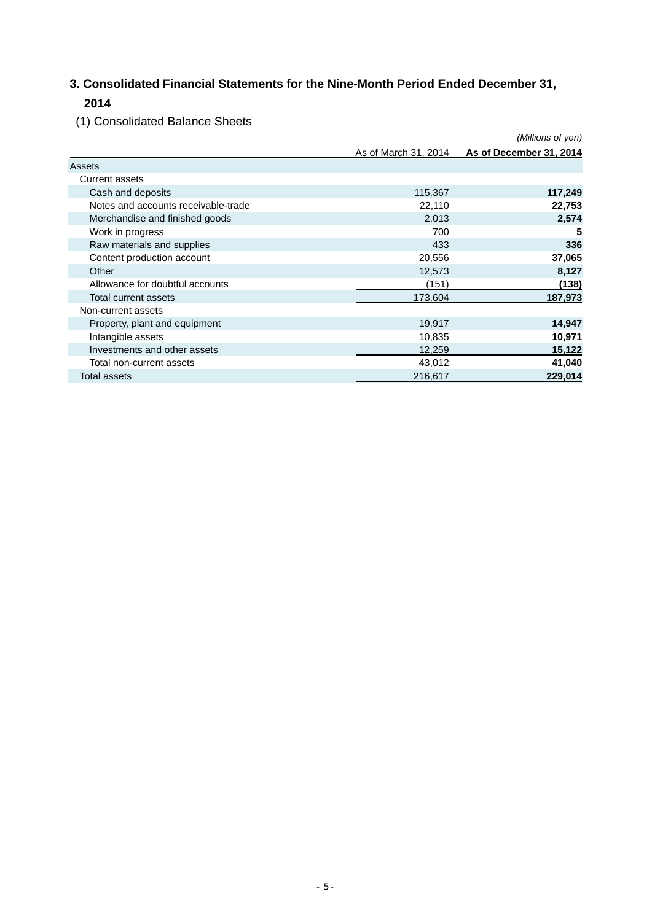## **3. Consolidated Financial Statements for the Nine-Month Period Ended December 31, 2014**

(1) Consolidated Balance Sheets

|                                     |                      | (Millions of yen)       |
|-------------------------------------|----------------------|-------------------------|
|                                     | As of March 31, 2014 | As of December 31, 2014 |
| Assets                              |                      |                         |
| <b>Current assets</b>               |                      |                         |
| Cash and deposits                   | 115,367              | 117,249                 |
| Notes and accounts receivable-trade | 22,110               | 22,753                  |
| Merchandise and finished goods      | 2,013                | 2,574                   |
| Work in progress                    | 700                  | 5                       |
| Raw materials and supplies          | 433                  | 336                     |
| Content production account          | 20,556               | 37,065                  |
| Other                               | 12,573               | 8,127                   |
| Allowance for doubtful accounts     | (151)                | (138)                   |
| Total current assets                | 173,604              | 187,973                 |
| Non-current assets                  |                      |                         |
| Property, plant and equipment       | 19,917               | 14,947                  |
| Intangible assets                   | 10,835               | 10,971                  |
| Investments and other assets        | 12,259               | 15,122                  |
| Total non-current assets            | 43,012               | 41,040                  |
| Total assets                        | 216,617              | 229,014                 |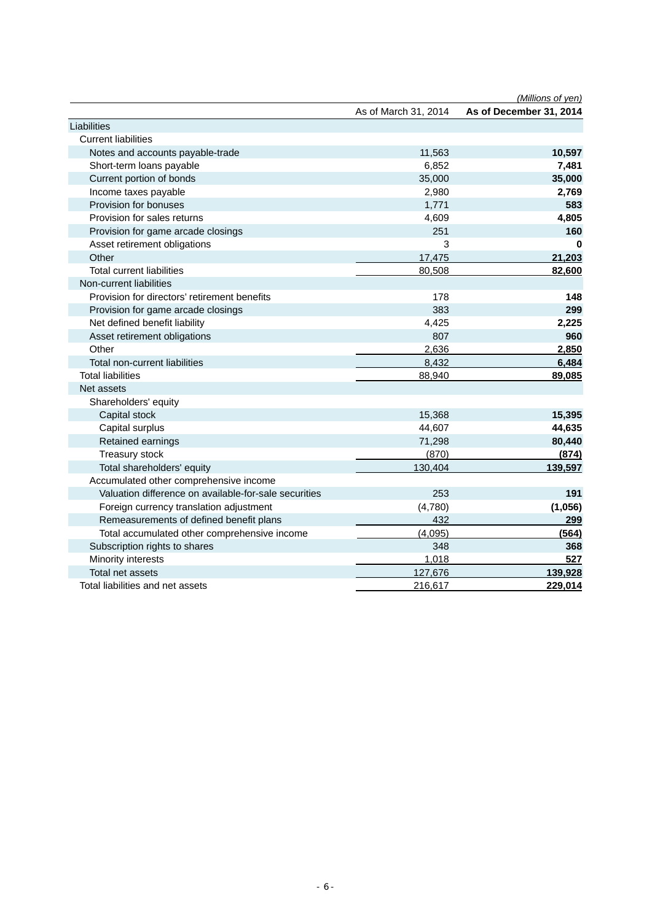|                                                       |                      | (Millions of yen)       |
|-------------------------------------------------------|----------------------|-------------------------|
|                                                       | As of March 31, 2014 | As of December 31, 2014 |
| Liabilities                                           |                      |                         |
| <b>Current liabilities</b>                            |                      |                         |
| Notes and accounts payable-trade                      | 11,563               | 10,597                  |
| Short-term loans payable                              | 6,852                | 7,481                   |
| Current portion of bonds                              | 35,000               | 35,000                  |
| Income taxes payable                                  | 2,980                | 2,769                   |
| Provision for bonuses                                 | 1,771                | 583                     |
| Provision for sales returns                           | 4,609                | 4,805                   |
| Provision for game arcade closings                    | 251                  | 160                     |
| Asset retirement obligations                          | 3                    | 0                       |
| Other                                                 | 17,475               | 21,203                  |
| <b>Total current liabilities</b>                      | 80,508               | 82,600                  |
| Non-current liabilities                               |                      |                         |
| Provision for directors' retirement benefits          | 178                  | 148                     |
| Provision for game arcade closings                    | 383                  | 299                     |
| Net defined benefit liability                         | 4,425                | 2,225                   |
| Asset retirement obligations                          | 807                  | 960                     |
| Other                                                 | 2,636                | 2,850                   |
| Total non-current liabilities                         | 8,432                | 6,484                   |
| <b>Total liabilities</b>                              | 88,940               | 89,085                  |
| Net assets                                            |                      |                         |
| Shareholders' equity                                  |                      |                         |
| Capital stock                                         | 15,368               | 15,395                  |
| Capital surplus                                       | 44,607               | 44,635                  |
| Retained earnings                                     | 71,298               | 80,440                  |
| Treasury stock                                        | (870)                | (874)                   |
| Total shareholders' equity                            | 130,404              | 139,597                 |
| Accumulated other comprehensive income                |                      |                         |
| Valuation difference on available-for-sale securities | 253                  | 191                     |
| Foreign currency translation adjustment               | (4,780)              | (1,056)                 |
| Remeasurements of defined benefit plans               | 432                  | 299                     |
| Total accumulated other comprehensive income          | (4,095)              | (564)                   |
| Subscription rights to shares                         | 348                  | 368                     |
| Minority interests                                    | 1,018                | 527                     |
| Total net assets                                      | 127,676              | 139,928                 |
| Total liabilities and net assets                      | 216,617              | 229,014                 |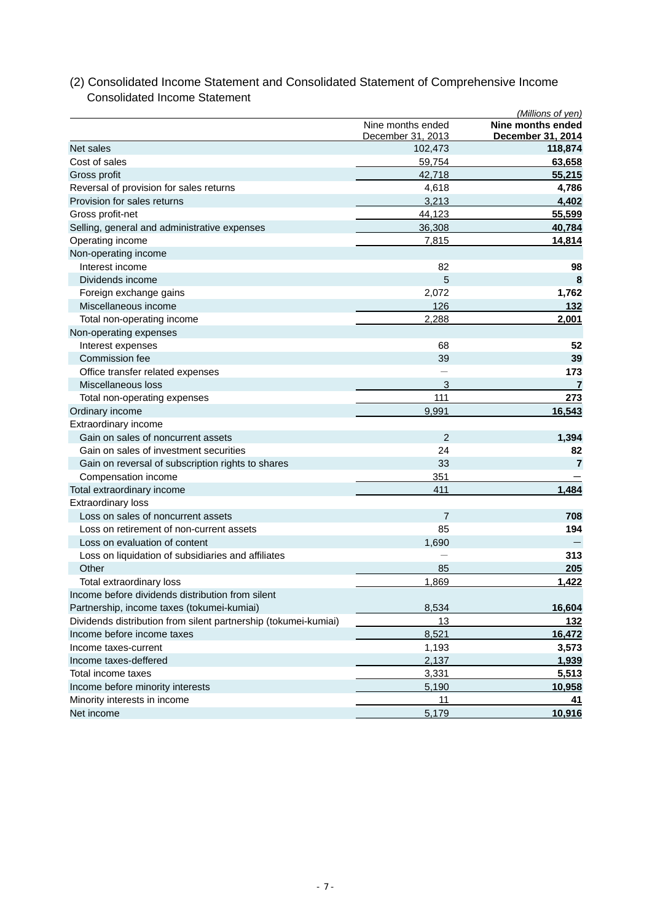#### *(Millions of yen)*  Nine months ended **Nine months ended** December 31, 2013 **December 31, 2014** Net sales 102,473 **118,874** Cost of sales 59,754 **63,658** Gross profit 42,718 **55,215**  Reversal of provision for sales returns **4,786 4,786 4,786** Provision for sales returns 3,213 **4,402** Gross profit-net 44,123 **55,599** Selling, general and administrative expenses 36,308 36,308 40,784 Operating income **14,814 14,814** Non-operating income Interest income 82 **98** Dividends income 5 **8**  Foreign exchange gains **1,762 1,762**  Miscellaneous income 126 **132**  Total non-operating income 2,288 **2,001** Non-operating expenses Interest expenses 68 **52 Commission fee 39** 39 39 Office transfer related expenses **173 173** Miscellaneous loss 3 **7** Total non-operating expenses and the set of the set of the set of the set of the set of the set of the set of the set of the set of the set of the set of the set of the set of the set of the set of the set of the set of th Ordinary income **16,543 16,543** Extraordinary income Gain on sales of noncurrent assets 2 **1,394**  Gain on sales of investment securities 24 **82** Gain on reversal of subscription rights to shares **33** 33 **7 7 7** Compensation income 351 Total extraordinary income **1,484 1,484** Extraordinary loss Loss on sales of noncurrent assets 7 **708** Loss on retirement of non-current assets 85 **194** Loss on evaluation of content 1,690 Loss on liquidation of subsidiaries and affiliates - **313**  Other 85 **205** Total extraordinary loss 1,869 **1,422**  Income before dividends distribution from silent Partnership, income taxes (tokumei-kumiai) 8,534 **16,604** Dividends distribution from silent partnership (tokumei-kumiai) 13 **132 Income before income taxes** 8,521 **16,472 Income taxes-current 3,573** 3,573 **Income taxes-deffered** 2,137 **1,939** Total income taxes 5,513 Income before minority interests **5,190** 10,958 Minority interests in income 11 **41** Net income 5,179 **10,916**

## (2) Consolidated Income Statement and Consolidated Statement of Comprehensive Income Consolidated Income Statement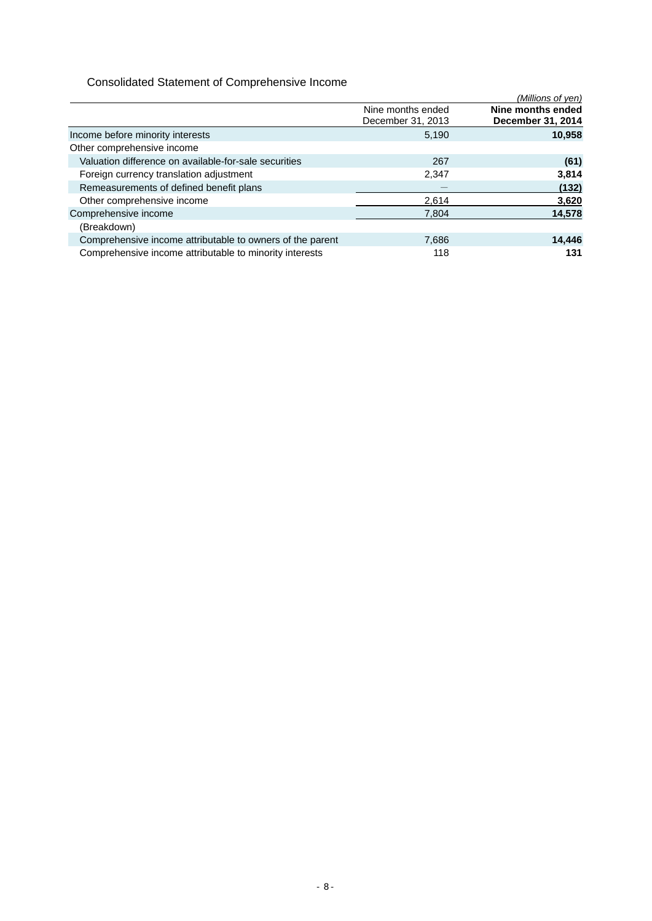## Consolidated Statement of Comprehensive Income

|                                                           |                   | (Millions of yen) |
|-----------------------------------------------------------|-------------------|-------------------|
|                                                           | Nine months ended | Nine months ended |
|                                                           | December 31, 2013 | December 31, 2014 |
| Income before minority interests                          | 5,190             | 10,958            |
| Other comprehensive income                                |                   |                   |
| Valuation difference on available-for-sale securities     | 267               | (61)              |
| Foreign currency translation adjustment                   | 2,347             | 3,814             |
| Remeasurements of defined benefit plans                   |                   | (132)             |
| Other comprehensive income                                | 2,614             | 3,620             |
| Comprehensive income                                      | 7.804             | 14,578            |
| (Breakdown)                                               |                   |                   |
| Comprehensive income attributable to owners of the parent | 7,686             | 14,446            |
| Comprehensive income attributable to minority interests   | 118               | 131               |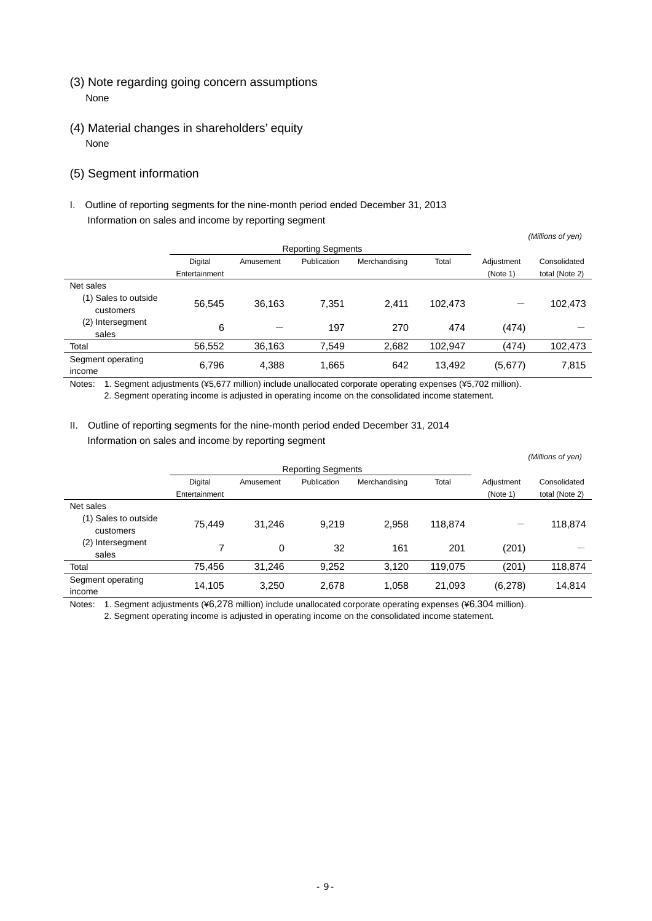- (3) Note regarding going concern assumptions None
- (4) Material changes in shareholders' equity None

## (5) Segment information

I. Outline of reporting segments for the nine-month period ended December 31, 2013 Information on sales and income by reporting segment

|                           |               |           |             |               |         |            | (Millions of yen) |
|---------------------------|---------------|-----------|-------------|---------------|---------|------------|-------------------|
| <b>Reporting Segments</b> |               |           |             |               |         |            |                   |
|                           | Digital       | Amusement | Publication | Merchandising | Total   | Adjustment | Consolidated      |
|                           | Entertainment |           |             |               |         | (Note 1)   | total (Note 2)    |
| Net sales                 |               |           |             |               |         |            |                   |
| (1) Sales to outside      | 56,545        | 36.163    | 7,351       | 2.411         | 102.473 |            | 102,473           |
| customers                 |               |           |             |               |         |            |                   |
| (2) Intersegment          | 6             |           | 197         | 270           | 474     | (474)      |                   |
| sales                     |               |           |             |               |         |            |                   |
| Total                     | 56,552        | 36,163    | 7,549       | 2,682         | 102,947 | (474)      | 102,473           |
| Segment operating         | 6,796         | 4,388     | 1,665       | 642           | 13,492  |            | 7,815             |
| income                    |               |           |             |               |         | (5,677)    |                   |

Notes: 1. Segment adjustments (¥5,677 million) include unallocated corporate operating expenses (¥5,702 million). 2. Segment operating income is adjusted in operating income on the consolidated income statement.

## II. Outline of reporting segments for the nine-month period ended December 31, 2014 Information on sales and income by reporting segment

|                                   | <b>Reporting Segments</b> |           |             |               |         |            |                |
|-----------------------------------|---------------------------|-----------|-------------|---------------|---------|------------|----------------|
|                                   | Digital                   | Amusement | Publication | Merchandising | Total   | Adjustment | Consolidated   |
|                                   | Entertainment             |           |             |               |         | (Note 1)   | total (Note 2) |
| Net sales                         |                           |           |             |               |         |            |                |
| (1) Sales to outside<br>customers | 75.449                    | 31.246    | 9,219       | 2,958         | 118,874 |            | 118,874        |
| (2)<br>Intersegment<br>sales      |                           | 0         | 32          | 161           | 201     | (201)      |                |
| Total                             | 75,456                    | 31.246    | 9,252       | 3,120         | 119,075 | (201)      | 118,874        |
| Segment operating<br>income       | 14,105                    | 3,250     | 2,678       | 1,058         | 21,093  | (6,278)    | 14,814         |

 *(Millions of yen)* 

Notes: 1. Segment adjustments (¥6,278 million) include unallocated corporate operating expenses (¥6,304 million).

2. Segment operating income is adjusted in operating income on the consolidated income statement.